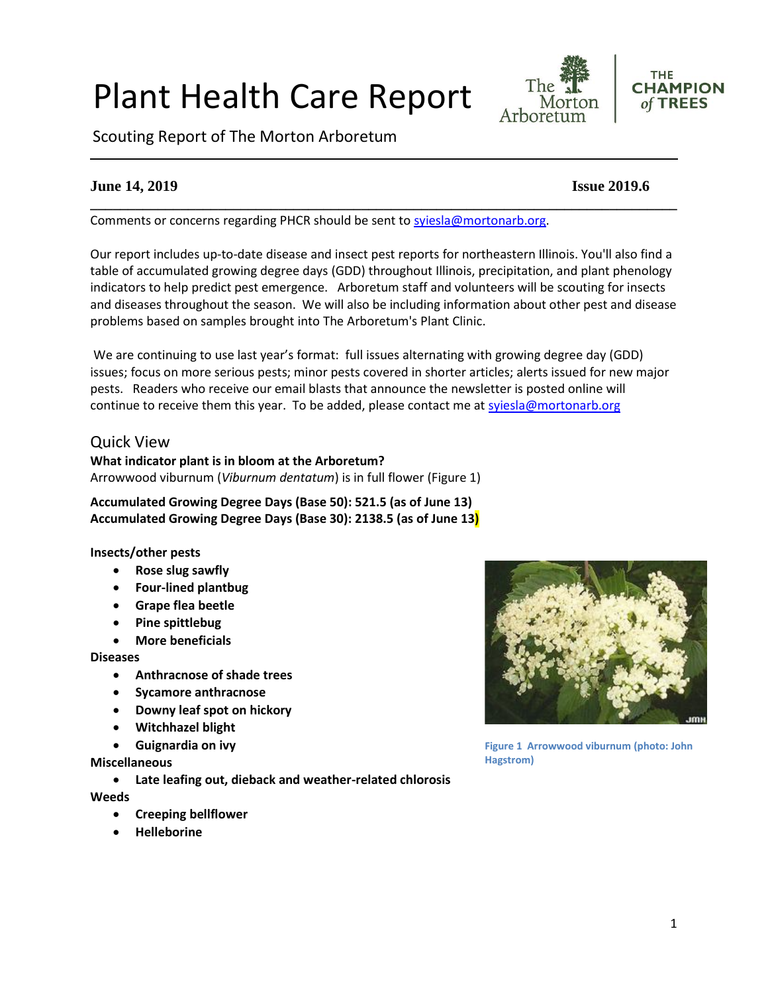# Plant Health Care Report

Scouting Report of The Morton Arboretum

# **June 14, 2019 Issue 2019.6**

Comments or concerns regarding PHCR should be sent to [syiesla@mortonarb.org.](mailto:syiesla@mortonarb.org)

Our report includes up-to-date disease and insect pest reports for northeastern Illinois. You'll also find a table of accumulated growing degree days (GDD) throughout Illinois, precipitation, and plant phenology indicators to help predict pest emergence. Arboretum staff and volunteers will be scouting for insects and diseases throughout the season. We will also be including information about other pest and disease problems based on samples brought into The Arboretum's Plant Clinic.

We are continuing to use last year's format: full issues alternating with growing degree day (GDD) issues; focus on more serious pests; minor pests covered in shorter articles; alerts issued for new major pests. Readers who receive our email blasts that announce the newsletter is posted online will continue to receive them this year. To be added, please contact me at [syiesla@mortonarb.org](mailto:syiesla@mortonarb.org)

## Quick View

**What indicator plant is in bloom at the Arboretum?** Arrowwood viburnum (*Viburnum dentatum*) is in full flower (Figure 1)

**Accumulated Growing Degree Days (Base 50): 521.5 (as of June 13) Accumulated Growing Degree Days (Base 30): 2138.5 (as of June 13)**

## **Insects/other pests**

- **Rose slug sawfly**
- **Four-lined plantbug**
- **Grape flea beetle**
- **Pine spittlebug**
- **More beneficials**

#### **Diseases**

- **Anthracnose of shade trees**
- **Sycamore anthracnose**
- **Downy leaf spot on hickory**
- **Witchhazel blight**
- **Guignardia on ivy**

**Miscellaneous**

• **Late leafing out, dieback and weather-related chlorosis**

**Weeds**

- **Creeping bellflower**
- **Helleborine**



**Figure 1 Arrowwood viburnum (photo: John Hagstrom)**



The

Morton

**CHAMPION** of TREES

**THE** 

**\_\_\_\_\_\_\_\_\_\_\_\_\_\_\_\_\_\_\_\_\_\_\_\_\_\_\_\_\_\_\_\_\_\_\_\_\_\_\_\_\_\_\_\_\_\_\_\_\_\_\_\_\_\_\_\_\_\_\_\_\_\_\_\_\_\_\_\_\_\_\_\_\_\_\_\_\_\_**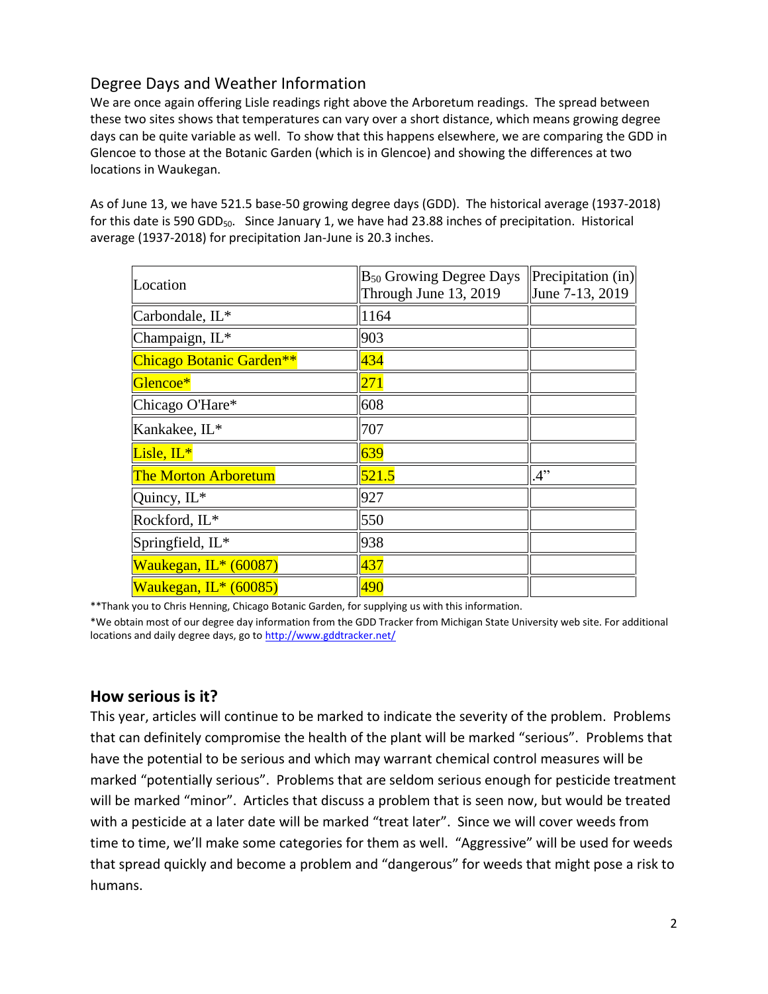# Degree Days and Weather Information

We are once again offering Lisle readings right above the Arboretum readings. The spread between these two sites shows that temperatures can vary over a short distance, which means growing degree days can be quite variable as well. To show that this happens elsewhere, we are comparing the GDD in Glencoe to those at the Botanic Garden (which is in Glencoe) and showing the differences at two locations in Waukegan.

As of June 13, we have 521.5 base-50 growing degree days (GDD). The historical average (1937-2018) for this date is 590 GDD<sub>50</sub>. Since January 1, we have had 23.88 inches of precipitation. Historical average (1937-2018) for precipitation Jan-June is 20.3 inches.

| Location                    | B <sub>50</sub> Growing Degree Days<br>Through June 13, 2019 | Precipitation (in)<br>June 7-13, 2019 |
|-----------------------------|--------------------------------------------------------------|---------------------------------------|
| Carbondale, IL*             | 1164                                                         |                                       |
| Champaign, IL*              | 903                                                          |                                       |
| Chicago Botanic Garden**    | 434                                                          |                                       |
| Glencoe*                    | 271                                                          |                                       |
| Chicago O'Hare*             | 608                                                          |                                       |
| Kankakee, IL*               | 707                                                          |                                       |
| Lisle, IL*                  | 639                                                          |                                       |
| <b>The Morton Arboretum</b> | 521.5                                                        | 4"                                    |
| Quincy, IL*                 | 927                                                          |                                       |
| Rockford, IL*               | 550                                                          |                                       |
| Springfield, IL*            | 938                                                          |                                       |
| Waukegan, IL* (60087)       | 437                                                          |                                       |
| Waukegan, $IL*(60085)$      | 490                                                          |                                       |

\*\*Thank you to Chris Henning, Chicago Botanic Garden, for supplying us with this information.

\*We obtain most of our degree day information from the GDD Tracker from Michigan State University web site. For additional locations and daily degree days, go t[o http://www.gddtracker.net/](http://www.gddtracker.net/)

# **How serious is it?**

This year, articles will continue to be marked to indicate the severity of the problem. Problems that can definitely compromise the health of the plant will be marked "serious".Problems that have the potential to be serious and which may warrant chemical control measures will be marked "potentially serious". Problems that are seldom serious enough for pesticide treatment will be marked "minor". Articles that discuss a problem that is seen now, but would be treated with a pesticide at a later date will be marked "treat later". Since we will cover weeds from time to time, we'll make some categories for them as well. "Aggressive" will be used for weeds that spread quickly and become a problem and "dangerous" for weeds that might pose a risk to humans.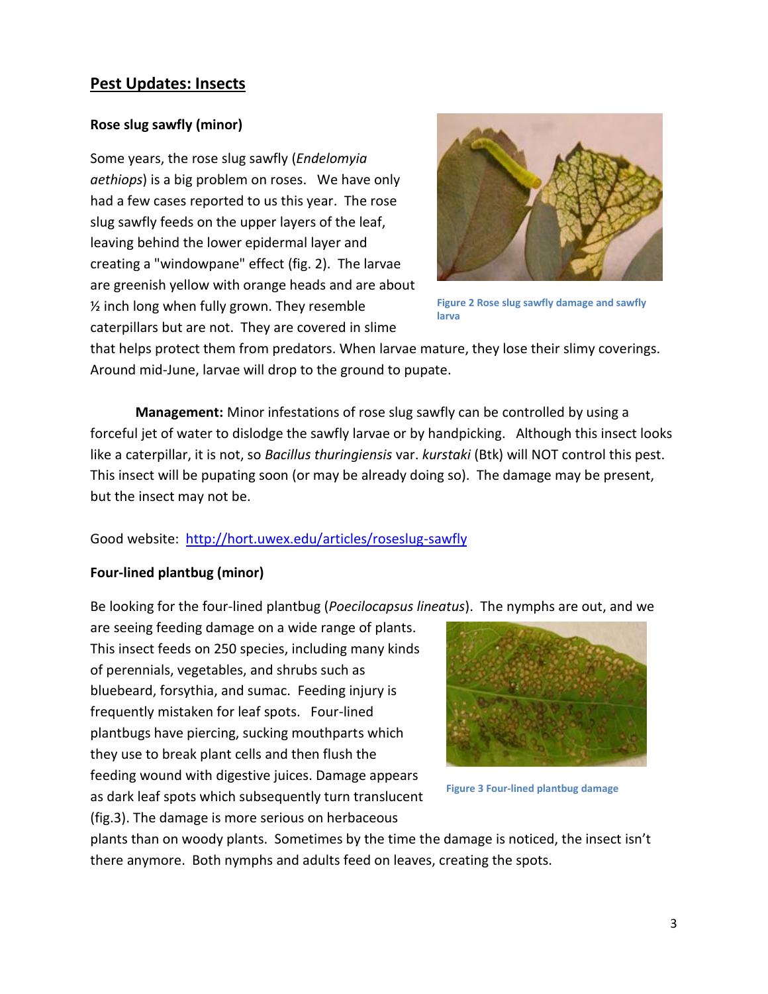# **Pest Updates: Insects**

## **Rose slug sawfly (minor)**

Some years, the rose slug sawfly (*Endelomyia aethiops*) is a big problem on roses. We have only had a few cases reported to us this year. The rose slug sawfly feeds on the upper layers of the leaf, leaving behind the lower epidermal layer and creating a "windowpane" effect (fig. 2). The larvae are greenish yellow with orange heads and are about ½ inch long when fully grown. They resemble caterpillars but are not. They are covered in slime



**Figure 2 Rose slug sawfly damage and sawfly larva**

that helps protect them from predators. When larvae mature, they lose their slimy coverings. Around mid-June, larvae will drop to the ground to pupate.

**Management:** Minor infestations of rose slug sawfly can be controlled by using a forceful jet of water to dislodge the sawfly larvae or by handpicking. Although this insect looks like a caterpillar, it is not, so *Bacillus thuringiensis* var. *kurstaki* (Btk) will NOT control this pest. This insect will be pupating soon (or may be already doing so). The damage may be present, but the insect may not be.

## Good website:<http://hort.uwex.edu/articles/roseslug-sawfly>

## **Four-lined plantbug (minor)**

Be looking for the four-lined plantbug (*Poecilocapsus lineatus*). The nymphs are out, and we

are seeing feeding damage on a wide range of plants. This insect feeds on 250 species, including many kinds of perennials, vegetables, and shrubs such as bluebeard, forsythia, and sumac. Feeding injury is frequently mistaken for leaf spots. Four-lined plantbugs have piercing, sucking mouthparts which they use to break plant cells and then flush the feeding wound with digestive juices. Damage appears as dark leaf spots which subsequently turn translucent (fig.3). The damage is more serious on herbaceous



**Figure 3 Four-lined plantbug damage**

plants than on woody plants. Sometimes by the time the damage is noticed, the insect isn't there anymore. Both nymphs and adults feed on leaves, creating the spots.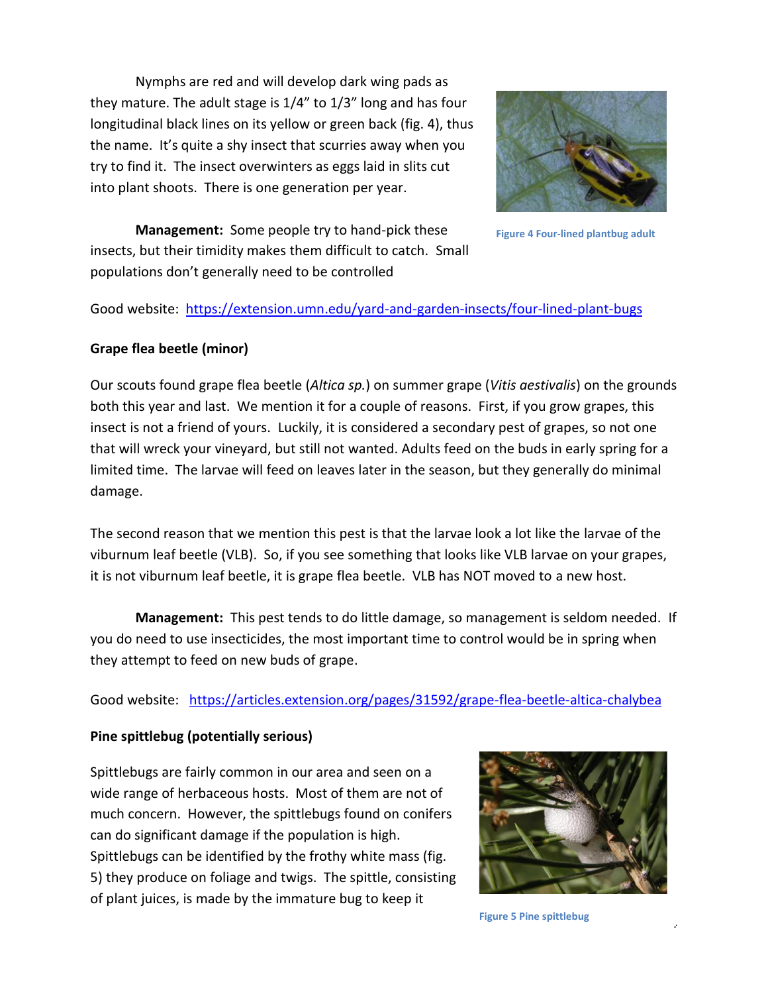Nymphs are red and will develop dark wing pads as they mature. The adult stage is 1/4" to 1/3" long and has four longitudinal black lines on its yellow or green back (fig. 4), thus the name. It's quite a shy insect that scurries away when you try to find it. The insect overwinters as eggs laid in slits cut into plant shoots. There is one generation per year.



**Figure 4 Four-lined plantbug adult**

**Management:** Some people try to hand-pick these insects, but their timidity makes them difficult to catch. Small populations don't generally need to be controlled

Good website: <https://extension.umn.edu/yard-and-garden-insects/four-lined-plant-bugs>

## **Grape flea beetle (minor)**

Our scouts found grape flea beetle (*Altica sp.*) on summer grape (*Vitis aestivalis*) on the grounds both this year and last. We mention it for a couple of reasons. First, if you grow grapes, this insect is not a friend of yours. Luckily, it is considered a secondary pest of grapes, so not one that will wreck your vineyard, but still not wanted. Adults feed on the buds in early spring for a limited time. The larvae will feed on leaves later in the season, but they generally do minimal damage.

The second reason that we mention this pest is that the larvae look a lot like the larvae of the viburnum leaf beetle (VLB). So, if you see something that looks like VLB larvae on your grapes, it is not viburnum leaf beetle, it is grape flea beetle. VLB has NOT moved to a new host.

**Management:** This pest tends to do little damage, so management is seldom needed. If you do need to use insecticides, the most important time to control would be in spring when they attempt to feed on new buds of grape.

Good website: <https://articles.extension.org/pages/31592/grape-flea-beetle-altica-chalybea>

## **Pine spittlebug (potentially serious)**

Spittlebugs are fairly common in our area and seen on a wide range of herbaceous hosts. Most of them are not of much concern. However, the spittlebugs found on conifers can do significant damage if the population is high. Spittlebugs can be identified by the frothy white mass (fig. 5) they produce on foliage and twigs. The spittle, consisting of plant juices, is made by the immature bug to keep it



4

**Figure 5 Pine spittlebug**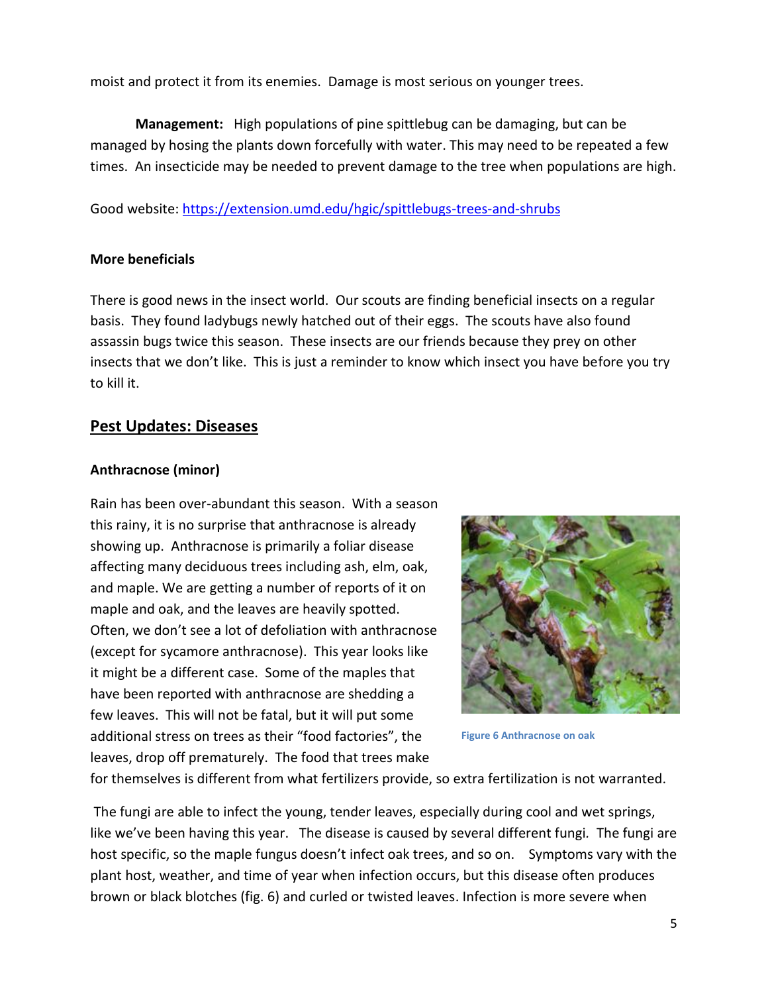moist and protect it from its enemies. Damage is most serious on younger trees.

**Management:** High populations of pine spittlebug can be damaging, but can be managed by hosing the plants down forcefully with water. This may need to be repeated a few times. An insecticide may be needed to prevent damage to the tree when populations are high.

Good website: <https://extension.umd.edu/hgic/spittlebugs-trees-and-shrubs>

## **More beneficials**

There is good news in the insect world. Our scouts are finding beneficial insects on a regular basis. They found ladybugs newly hatched out of their eggs. The scouts have also found assassin bugs twice this season. These insects are our friends because they prey on other insects that we don't like. This is just a reminder to know which insect you have before you try to kill it.

## **Pest Updates: Diseases**

## **Anthracnose (minor)**

Rain has been over-abundant this season. With a season this rainy, it is no surprise that anthracnose is already showing up. Anthracnose is primarily a foliar disease affecting many deciduous trees including ash, elm, oak, and maple. We are getting a number of reports of it on maple and oak, and the leaves are heavily spotted. Often, we don't see a lot of defoliation with anthracnose (except for sycamore anthracnose). This year looks like it might be a different case. Some of the maples that have been reported with anthracnose are shedding a few leaves. This will not be fatal, but it will put some additional stress on trees as their "food factories", the leaves, drop off prematurely. The food that trees make



**Figure 6 Anthracnose on oak**

for themselves is different from what fertilizers provide, so extra fertilization is not warranted.

The fungi are able to infect the young, tender leaves, especially during cool and wet springs, like we've been having this year. The disease is caused by several different fungi*.* The fungi are host specific, so the maple fungus doesn't infect oak trees, and so on. Symptoms vary with the plant host, weather, and time of year when infection occurs, but this disease often produces brown or black blotches (fig. 6) and curled or twisted leaves. Infection is more severe when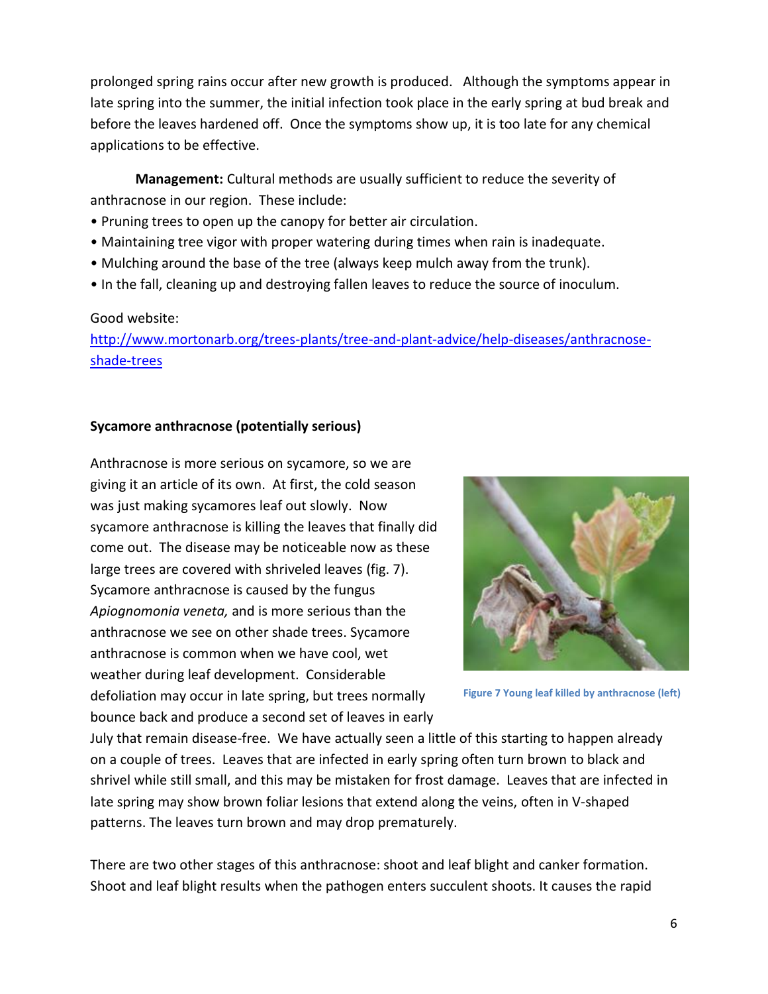prolonged spring rains occur after new growth is produced. Although the symptoms appear in late spring into the summer, the initial infection took place in the early spring at bud break and before the leaves hardened off. Once the symptoms show up, it is too late for any chemical applications to be effective.

**Management:** Cultural methods are usually sufficient to reduce the severity of anthracnose in our region. These include:

- Pruning trees to open up the canopy for better air circulation.
- Maintaining tree vigor with proper watering during times when rain is inadequate.
- Mulching around the base of the tree (always keep mulch away from the trunk).
- In the fall, cleaning up and destroying fallen leaves to reduce the source of inoculum.

#### Good website:

[http://www.mortonarb.org/trees-plants/tree-and-plant-advice/help-diseases/anthracnose](http://www.mortonarb.org/trees-plants/tree-and-plant-advice/help-diseases/anthracnose-shade-trees)[shade-trees](http://www.mortonarb.org/trees-plants/tree-and-plant-advice/help-diseases/anthracnose-shade-trees)

## **Sycamore anthracnose (potentially serious)**

Anthracnose is more serious on sycamore, so we are giving it an article of its own. At first, the cold season was just making sycamores leaf out slowly. Now sycamore anthracnose is killing the leaves that finally did come out. The disease may be noticeable now as these large trees are covered with shriveled leaves (fig. 7). Sycamore anthracnose is caused by the fungus *Apiognomonia veneta,* and is more serious than the anthracnose we see on other shade trees. Sycamore anthracnose is common when we have cool, wet weather during leaf development. Considerable defoliation may occur in late spring, but trees normally bounce back and produce a second set of leaves in early



**Figure 7 Young leaf killed by anthracnose (left)**

July that remain disease-free. We have actually seen a little of this starting to happen already on a couple of trees. Leaves that are infected in early spring often turn brown to black and shrivel while still small, and this may be mistaken for frost damage. Leaves that are infected in late spring may show brown foliar lesions that extend along the veins, often in V-shaped patterns. The leaves turn brown and may drop prematurely.

There are two other stages of this anthracnose: shoot and leaf blight and canker formation. Shoot and leaf blight results when the pathogen enters succulent shoots. It causes the rapid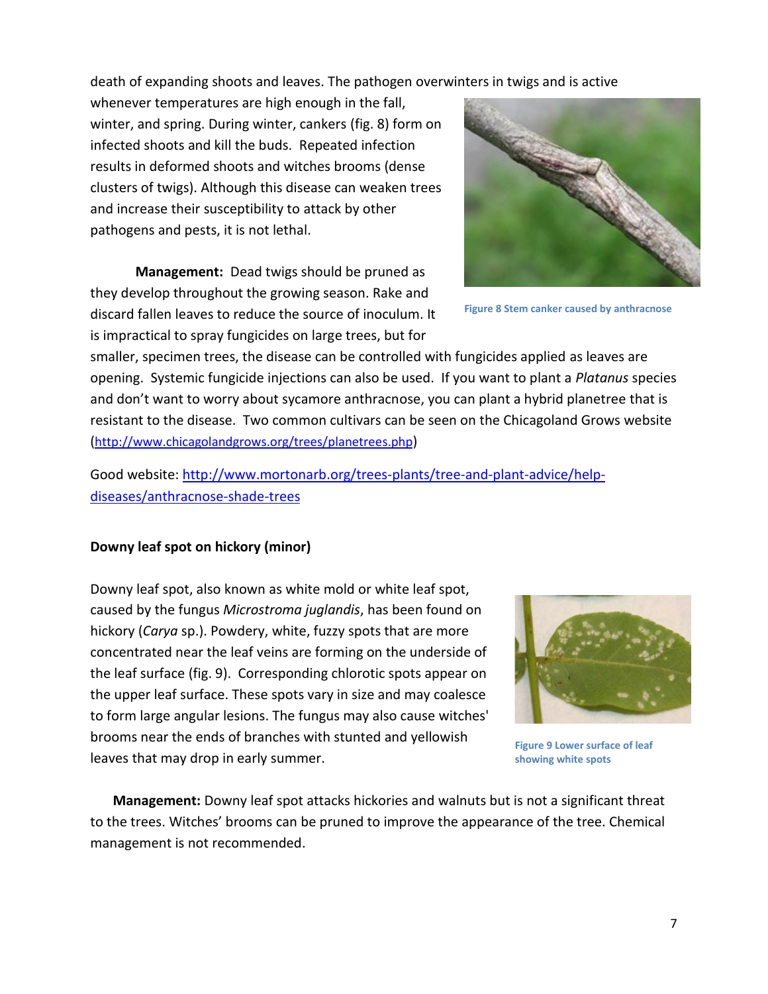death of expanding shoots and leaves. The pathogen overwinters in twigs and is active

whenever temperatures are high enough in the fall, winter, and spring. During winter, cankers (fig. 8) form on infected shoots and kill the buds. Repeated infection results in deformed shoots and witches brooms (dense clusters of twigs). Although this disease can weaken trees and increase their susceptibility to attack by other pathogens and pests, it is not lethal.

**Management:** Dead twigs should be pruned as they develop throughout the growing season. Rake and discard fallen leaves to reduce the source of inoculum. It is impractical to spray fungicides on large trees, but for



**Figure 8 Stem canker caused by anthracnose**

smaller, specimen trees, the disease can be controlled with fungicides applied as leaves are opening. Systemic fungicide injections can also be used. If you want to plant a *Platanus* species and don't want to worry about sycamore anthracnose, you can plant a hybrid planetree that is resistant to the disease. Two common cultivars can be seen on the Chicagoland Grows website (<http://www.chicagolandgrows.org/trees/planetrees.php>)

Good website: [http://www.mortonarb.org/trees-plants/tree-and-plant-advice/help](http://www.mortonarb.org/trees-plants/tree-and-plant-advice/help-diseases/anthracnose-shade-trees)[diseases/anthracnose-shade-trees](http://www.mortonarb.org/trees-plants/tree-and-plant-advice/help-diseases/anthracnose-shade-trees)

## **Downy leaf spot on hickory (minor)**

Downy leaf spot, also known as white mold or white leaf spot, caused by the fungus *Microstroma juglandis*, has been found on hickory (*Carya* sp.). Powdery, white, fuzzy spots that are more concentrated near the leaf veins are forming on the underside of the leaf surface (fig. 9). Corresponding chlorotic spots appear on the upper leaf surface. These spots vary in size and may coalesce to form large angular lesions. The fungus may also cause witches' brooms near the ends of branches with stunted and yellowish leaves that may drop in early summer.



**Figure 9 Lower surface of leaf showing white spots**

**Management:** Downy leaf spot attacks hickories and walnuts but is not a significant threat to the trees. Witches' brooms can be pruned to improve the appearance of the tree. Chemical management is not recommended.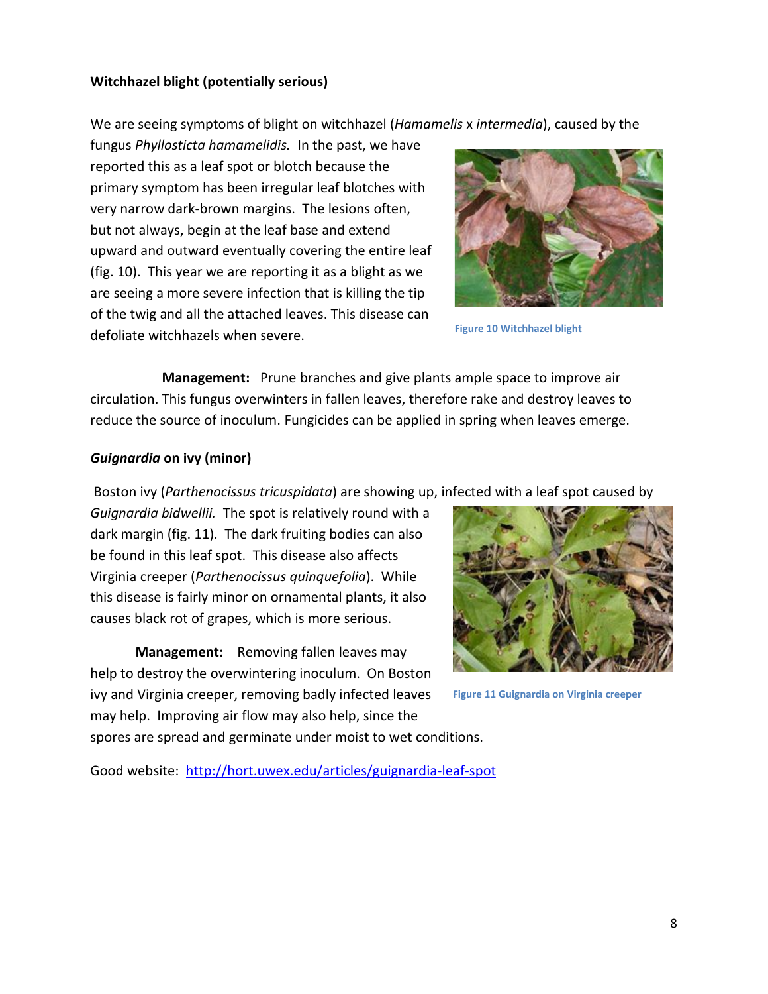## **Witchhazel blight (potentially serious)**

We are seeing symptoms of blight on witchhazel (*Hamamelis* x *intermedia*), caused by the

fungus *Phyllosticta hamamelidis.* In the past, we have reported this as a leaf spot or blotch because the primary symptom has been irregular leaf blotches with very narrow dark-brown margins. The lesions often, but not always, begin at the leaf base and extend upward and outward eventually covering the entire leaf (fig. 10). This year we are reporting it as a blight as we are seeing a more severe infection that is killing the tip of the twig and all the attached leaves. This disease can defoliate witchhazels when severe.



**Figure 10 Witchhazel blight**

 **Management:** Prune branches and give plants ample space to improve air circulation. This fungus overwinters in fallen leaves, therefore rake and destroy leaves to reduce the source of inoculum. Fungicides can be applied in spring when leaves emerge.

## *Guignardia* **on ivy (minor)**

Boston ivy (*Parthenocissus tricuspidata*) are showing up, infected with a leaf spot caused by

*Guignardia bidwellii.* The spot is relatively round with a dark margin (fig. 11). The dark fruiting bodies can also be found in this leaf spot. This disease also affects Virginia creeper (*Parthenocissus quinquefolia*). While this disease is fairly minor on ornamental plants, it also causes black rot of grapes, which is more serious.

**Management:** Removing fallen leaves may help to destroy the overwintering inoculum. On Boston ivy and Virginia creeper, removing badly infected leaves may help. Improving air flow may also help, since the spores are spread and germinate under moist to wet conditions.

Good website: <http://hort.uwex.edu/articles/guignardia-leaf-spot>



**Figure 11 Guignardia on Virginia creeper**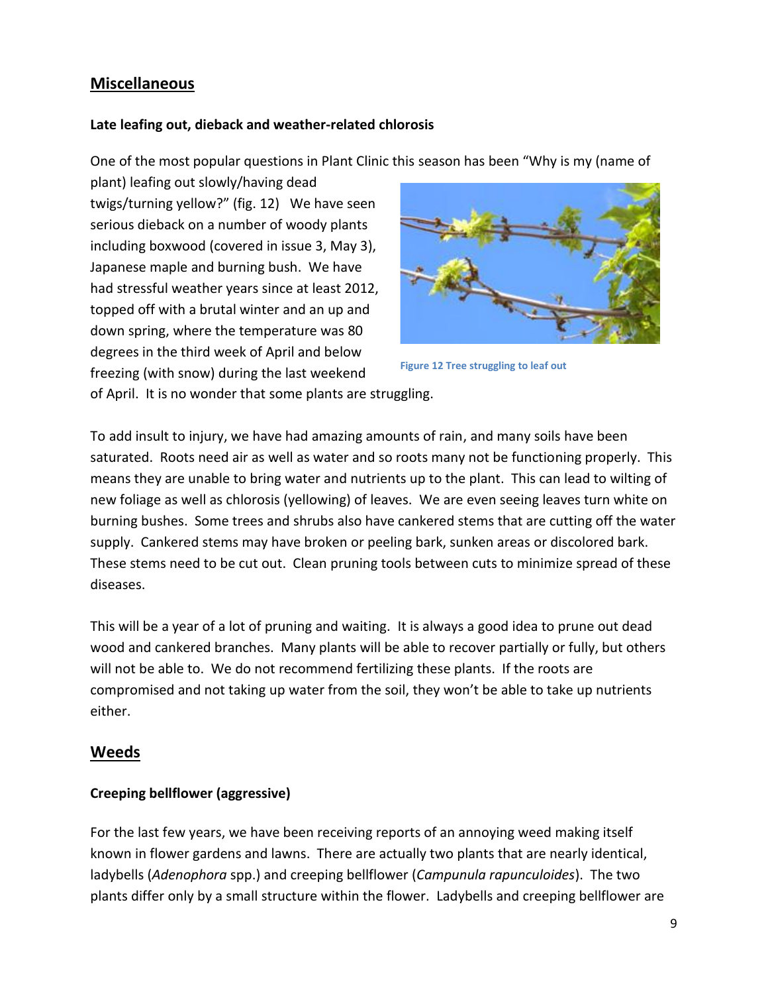# **Miscellaneous**

## **Late leafing out, dieback and weather-related chlorosis**

One of the most popular questions in Plant Clinic this season has been "Why is my (name of

plant) leafing out slowly/having dead twigs/turning yellow?" (fig. 12) We have seen serious dieback on a number of woody plants including boxwood (covered in issue 3, May 3), Japanese maple and burning bush. We have had stressful weather years since at least 2012, topped off with a brutal winter and an up and down spring, where the temperature was 80 degrees in the third week of April and below freezing (with snow) during the last weekend



**Figure 12 Tree struggling to leaf out**

of April. It is no wonder that some plants are struggling.

To add insult to injury, we have had amazing amounts of rain, and many soils have been saturated. Roots need air as well as water and so roots many not be functioning properly. This means they are unable to bring water and nutrients up to the plant. This can lead to wilting of new foliage as well as chlorosis (yellowing) of leaves. We are even seeing leaves turn white on burning bushes. Some trees and shrubs also have cankered stems that are cutting off the water supply. Cankered stems may have broken or peeling bark, sunken areas or discolored bark. These stems need to be cut out. Clean pruning tools between cuts to minimize spread of these diseases.

This will be a year of a lot of pruning and waiting. It is always a good idea to prune out dead wood and cankered branches. Many plants will be able to recover partially or fully, but others will not be able to. We do not recommend fertilizing these plants. If the roots are compromised and not taking up water from the soil, they won't be able to take up nutrients either.

# **Weeds**

## **Creeping bellflower (aggressive)**

For the last few years, we have been receiving reports of an annoying weed making itself known in flower gardens and lawns. There are actually two plants that are nearly identical, ladybells (*Adenophora* spp.) and creeping bellflower (*Campunula rapunculoides*). The two plants differ only by a small structure within the flower. Ladybells and creeping bellflower are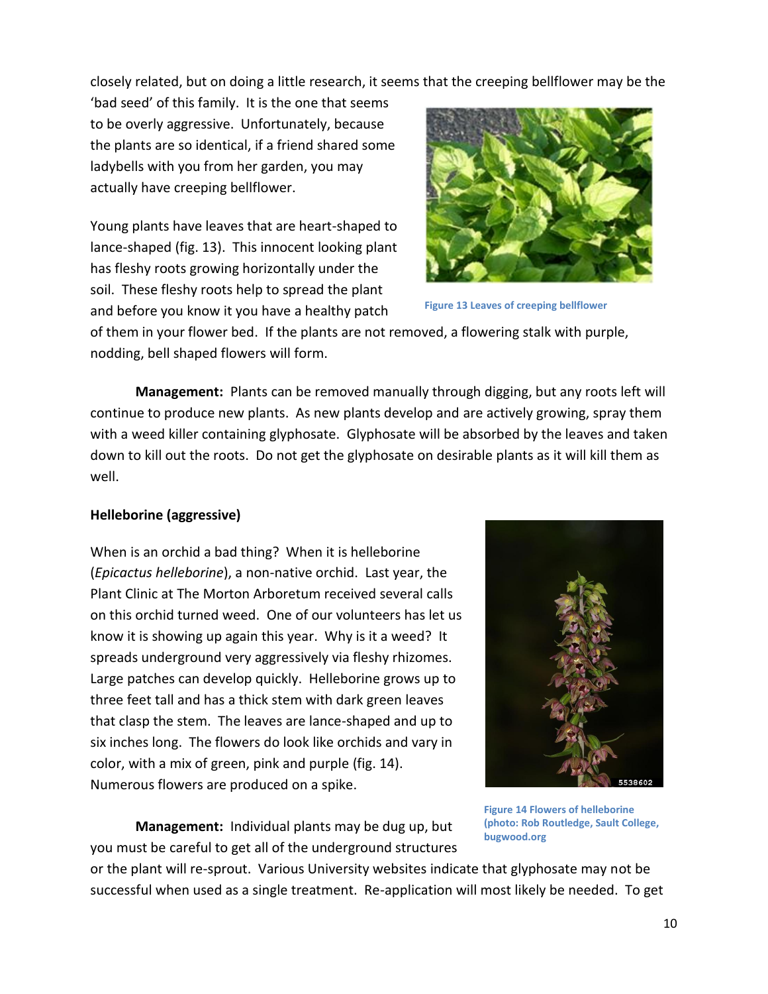closely related, but on doing a little research, it seems that the creeping bellflower may be the

'bad seed' of this family. It is the one that seems to be overly aggressive. Unfortunately, because the plants are so identical, if a friend shared some ladybells with you from her garden, you may actually have creeping bellflower.

Young plants have leaves that are heart-shaped to lance-shaped (fig. 13). This innocent looking plant has fleshy roots growing horizontally under the soil. These fleshy roots help to spread the plant and before you know it you have a healthy patch



**Figure 13 Leaves of creeping bellflower**

of them in your flower bed. If the plants are not removed, a flowering stalk with purple, nodding, bell shaped flowers will form.

**Management:** Plants can be removed manually through digging, but any roots left will continue to produce new plants. As new plants develop and are actively growing, spray them with a weed killer containing glyphosate. Glyphosate will be absorbed by the leaves and taken down to kill out the roots. Do not get the glyphosate on desirable plants as it will kill them as well.

# **Helleborine (aggressive)**

When is an orchid a bad thing? When it is helleborine (*Epicactus helleborine*), a non-native orchid. Last year, the Plant Clinic at The Morton Arboretum received several calls on this orchid turned weed. One of our volunteers has let us know it is showing up again this year. Why is it a weed? It spreads underground very aggressively via fleshy rhizomes. Large patches can develop quickly. Helleborine grows up to three feet tall and has a thick stem with dark green leaves that clasp the stem. The leaves are lance-shaped and up to six inches long. The flowers do look like orchids and vary in color, with a mix of green, pink and purple (fig. 14). Numerous flowers are produced on a spike.



**Management:** Individual plants may be dug up, but you must be careful to get all of the underground structures

**Figure 14 Flowers of helleborine (photo: Rob Routledge, Sault College, bugwood.org**

or the plant will re-sprout. Various University websites indicate that glyphosate may not be successful when used as a single treatment. Re-application will most likely be needed. To get